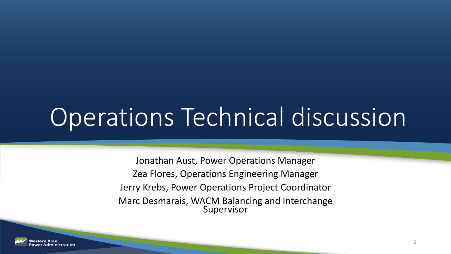# Operations Technical discussion

Jonathan Aust, Power Operations Manager Zea Flores, Operations Engineering Manager Jerry Krebs, Power Operations Project Coordinator Marc Desmarais, WACM Balancing and Interchange Supervisor

1

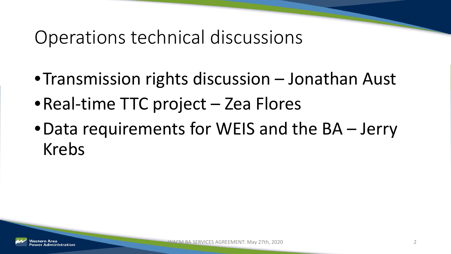#### Operations technical discussions

- •Transmission rights discussion Jonathan Aust
- Real-time TTC project Zea Flores
- •Data requirements for WEIS and the BA Jerry Krebs

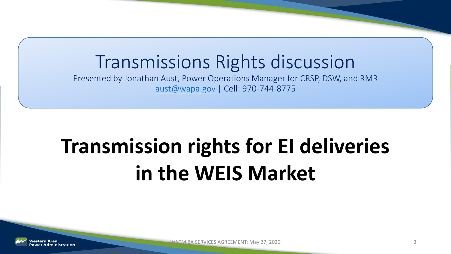#### Transmissions Rights discussion

Presented by Jonathan Aust, Power Operations Manager for CRSP, DSW, and RMR [aust@wapa.gov](mailto:aust@wapa.gov) | Cell: 970-744-8775

### **Transmission rights for EI deliveries in the WEIS Market**

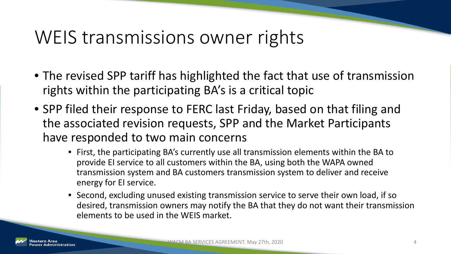#### WEIS transmissions owner rights

- The revised SPP tariff has highlighted the fact that use of transmission rights within the participating BA's is a critical topic
- SPP filed their response to FERC last Friday, based on that filing and the associated revision requests, SPP and the Market Participants have responded to two main concerns
	- First, the participating BA's currently use all transmission elements within the BA to provide EI service to all customers within the BA, using both the WAPA owned transmission system and BA customers transmission system to deliver and receive energy for EI service.
	- Second, excluding unused existing transmission service to serve their own load, if so desired, transmission owners may notify the BA that they do not want their transmission elements to be used in the WEIS market.

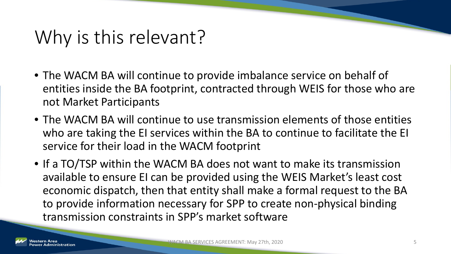### Why is this relevant?

- The WACM BA will continue to provide imbalance service on behalf of entities inside the BA footprint, contracted through WEIS for those who are not Market Participants
- The WACM BA will continue to use transmission elements of those entities who are taking the EI services within the BA to continue to facilitate the EI service for their load in the WACM footprint
- If a TO/TSP within the WACM BA does not want to make its transmission available to ensure EI can be provided using the WEIS Market's least cost economic dispatch, then that entity shall make a formal request to the BA to provide information necessary for SPP to create non-physical binding transmission constraints in SPP's market software

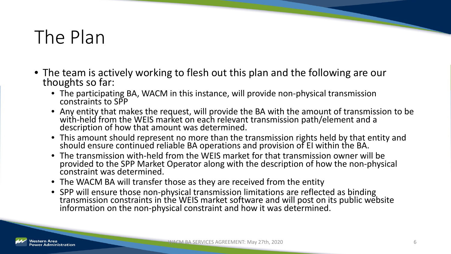### The Plan

- The team is actively working to flesh out this plan and the following are our thoughts so far:
	- The participating BA, WACM in this instance, will provide non-physical transmission constraints to SPP
	- Any entity that makes the request, will provide the BA with the amount of transmission to be with-held from the WEIS market on each relevant transmission path/element and a<br>description of how that amount was determined.
	- This amount should represent no more than the transmission rights held by that entity and should ensure continued reliable BA operations and provision of EI within the BA.
	- The transmission with-held from the WEIS market for that transmission owner will be provided to the SPP Market Operator along with the description of how the non-physical constraint was determined.
	- The WACM BA will transfer those as they are received from the entity
	- SPP will ensure those non-physical transmission limitations are reflected as binding<br>transmission constraints in the WEIS market software and will post on its public website information on the non-physical constraint and how it was determined.

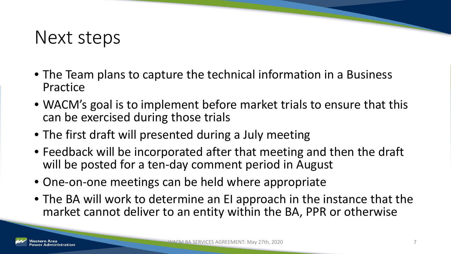#### Next steps

- The Team plans to capture the technical information in a Business Practice
- WACM's goal is to implement before market trials to ensure that this can be exercised during those trials
- The first draft will presented during a July meeting
- Feedback will be incorporated after that meeting and then the draft will be posted for a ten-day comment period in August
- One-on-one meetings can be held where appropriate
- The BA will work to determine an EI approach in the instance that the market cannot deliver to an entity within the BA, PPR or otherwise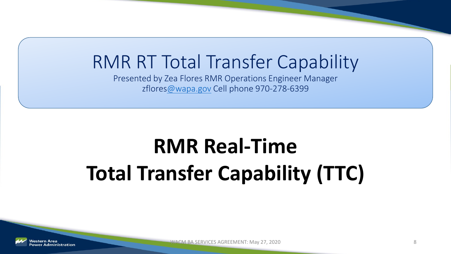#### RMR RT Total Transfer Capability

Presented by Zea Flores RMR Operations Engineer Manager zflore[s@wapa.gov](mailto:Krebs@wapa.gov) Cell phone 970-278-6399

## **RMR Real-Time Total Transfer Capability (TTC)**



WACM BA SERVICES AGREEMENT: May 27, 2020 8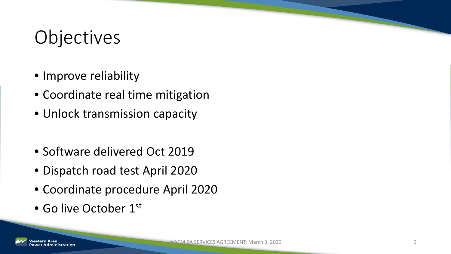### Objectives

- Improve reliability
- Coordinate real time mitigation
- Unlock transmission capacity
- Software delivered Oct 2019
- Dispatch road test April 2020
- Coordinate procedure April 2020
- Go live October 1st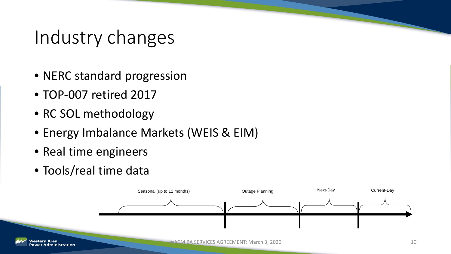#### Industry changes

- NERC standard progression
- TOP-007 retired 2017
- RC SOL methodology
- Energy Imbalance Markets (WEIS & EIM)
- Real time engineers
- Tools/real time data

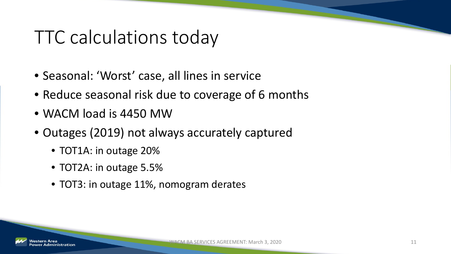#### TTC calculations today

- Seasonal: 'Worst' case, all lines in service
- Reduce seasonal risk due to coverage of 6 months
- WACM load is 4450 MW
- Outages (2019) not always accurately captured
	- TOT1A: in outage 20%
	- TOT2A: in outage 5.5%
	- TOT3: in outage 11%, nomogram derates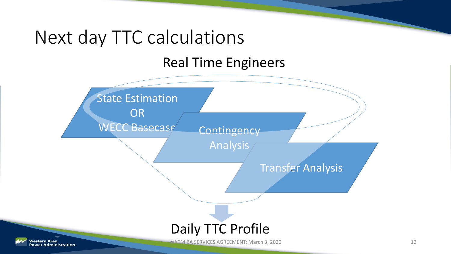#### Next day TTC calculations

Real Time Engineers

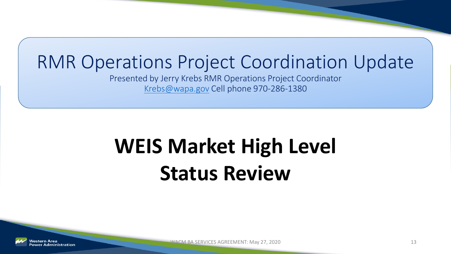#### RMR Operations Project Coordination Update

Presented by Jerry Krebs RMR Operations Project Coordinator [Krebs@wapa.gov](mailto:Krebs@wapa.gov) Cell phone 970-286-1380

### **WEIS Market High Level Status Review**



WACM BA SERVICES AGREEMENT: May 27, 2020 13 and the state of the state of the state of the state of the state of the state of the state of the state of the state of the state of the state of the state of the state of the s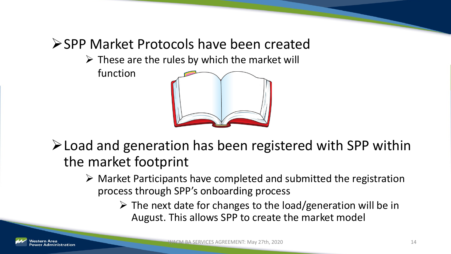#### ▶ SPP Market Protocols have been created

 $\triangleright$  These are the rules by which the market will

function



Load and generation has been registered with SPP within the market footprint

- $\triangleright$  Market Participants have completed and submitted the registration process through SPP's onboarding process
	- $\triangleright$  The next date for changes to the load/generation will be in August. This allows SPP to create the market model

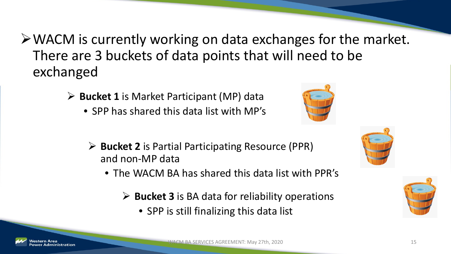- WACM is currently working on data exchanges for the market. There are 3 buckets of data points that will need to be exchanged
	- **Bucket 1** is Market Participant (MP) data
		- SPP has shared this data list with MP's



- **Bucket 2** is Partial Participating Resource (PPR) and non-MP data
	- The WACM BA has shared this data list with PPR's
		- **Bucket 3** is BA data for reliability operations
			- SPP is still finalizing this data list





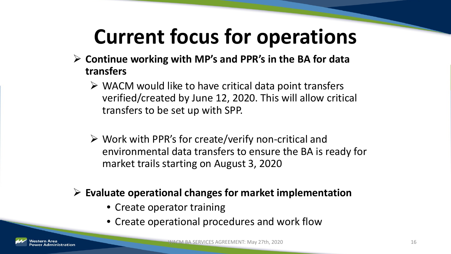### **Current focus for operations**

- **Continue working with MP's and PPR's in the BA for data transfers**
	- $\triangleright$  WACM would like to have critical data point transfers verified/created by June 12, 2020. This will allow critical transfers to be set up with SPP.
	- $\triangleright$  Work with PPR's for create/verify non-critical and environmental data transfers to ensure the BA is ready for market trails starting on August 3, 2020

#### **Evaluate operational changes for market implementation**

- Create operator training
- Create operational procedures and work flow

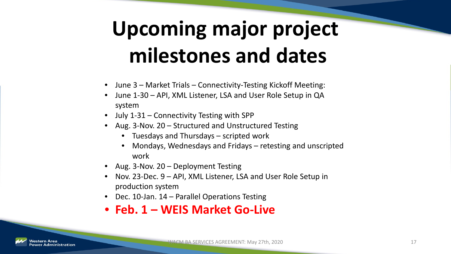### **Upcoming major project milestones and dates**

- June 3 Market Trials Connectivity-Testing Kickoff Meeting:
- June 1-30 API, XML Listener, LSA and User Role Setup in QA system
- July 1-31 Connectivity Testing with SPP
- Aug. 3-Nov. 20 Structured and Unstructured Testing
	- Tuesdays and Thursdays scripted work
	- Mondays, Wednesdays and Fridays retesting and unscripted work
- Aug. 3-Nov. 20 Deployment Testing
- Nov. 23-Dec. 9 API, XML Listener, LSA and User Role Setup in production system
- Dec. 10-Jan. 14 Parallel Operations Testing
- **Feb. 1 – WEIS Market Go-Live**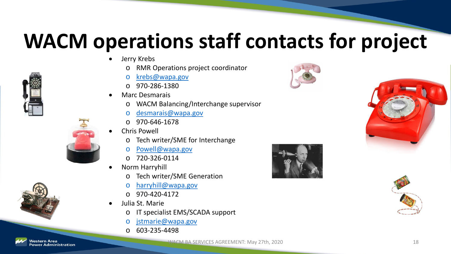### **WACM operations staff contacts for project**

- Jerry Krebs
	- o RMR Operations project coordinator
	- o [krebs@wapa.gov](mailto:krebs@wapa.gov)
	- o 970-286-1380
	- Marc Desmarais
		- o WACM Balancing/Interchange supervisor
		- o [desmarais@wapa.gov](mailto:desmarais@wapa.gov)
		- o 970-646-1678
	- Chris Powell
		- o Tech writer/SME for Interchange
		- o [Powell@wapa.gov](mailto:Powell@wapa.gov)
		- $O$  720-326-0114
	- Norm Harryhill
		- Tech writer/SME Generation
		- o [harryhill@wapa.gov](mailto:harryhill@wapa.gov)
		- $O$  970-420-4172
	- Julia St. Marie
		- o IT specialist EMS/SCADA support
		- o [jstmarie@wapa.gov](mailto:jstmarie@wapa.gov)
		- o 603-235-4498